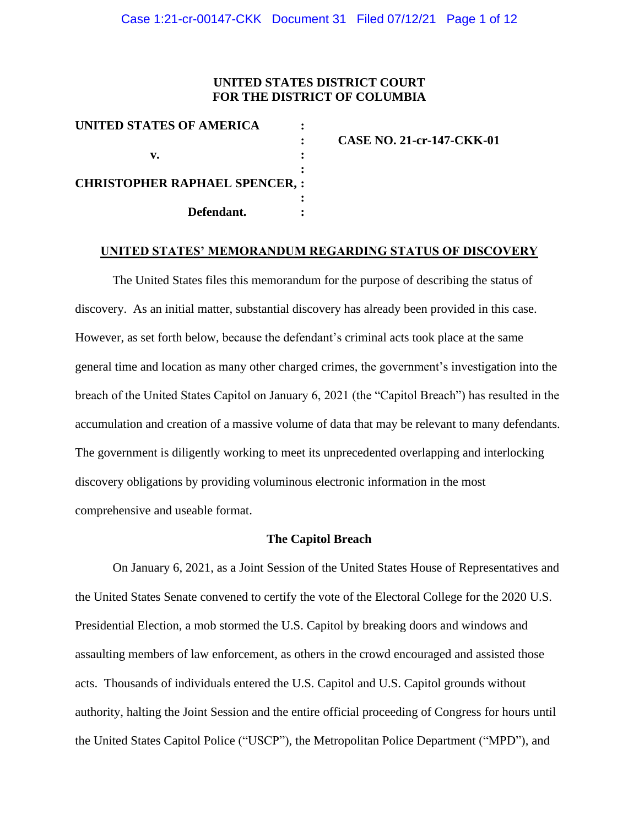## **UNITED STATES DISTRICT COURT FOR THE DISTRICT OF COLUMBIA**

| UNITED STATES OF AMERICA             |                                  |
|--------------------------------------|----------------------------------|
|                                      | <b>CASE NO. 21-cr-147-CKK-01</b> |
|                                      |                                  |
| <b>CHRISTOPHER RAPHAEL SPENCER,:</b> |                                  |
| Defendant.                           |                                  |

#### **UNITED STATES' MEMORANDUM REGARDING STATUS OF DISCOVERY**

The United States files this memorandum for the purpose of describing the status of discovery. As an initial matter, substantial discovery has already been provided in this case. However, as set forth below, because the defendant's criminal acts took place at the same general time and location as many other charged crimes, the government's investigation into the breach of the United States Capitol on January 6, 2021 (the "Capitol Breach") has resulted in the accumulation and creation of a massive volume of data that may be relevant to many defendants. The government is diligently working to meet its unprecedented overlapping and interlocking discovery obligations by providing voluminous electronic information in the most comprehensive and useable format.

#### **The Capitol Breach**

On January 6, 2021, as a Joint Session of the United States House of Representatives and the United States Senate convened to certify the vote of the Electoral College for the 2020 U.S. Presidential Election, a mob stormed the U.S. Capitol by breaking doors and windows and assaulting members of law enforcement, as others in the crowd encouraged and assisted those acts. Thousands of individuals entered the U.S. Capitol and U.S. Capitol grounds without authority, halting the Joint Session and the entire official proceeding of Congress for hours until the United States Capitol Police ("USCP"), the Metropolitan Police Department ("MPD"), and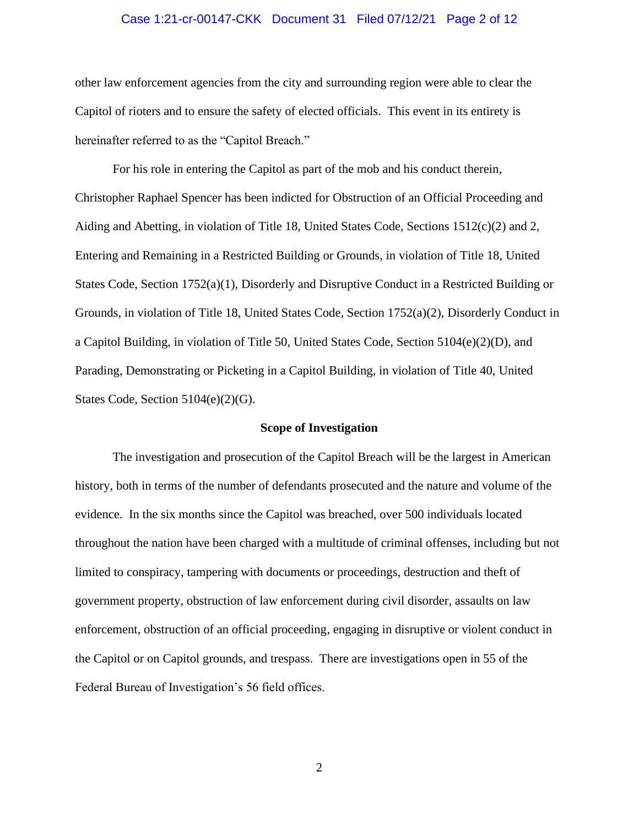#### Case 1:21-cr-00147-CKK Document 31 Filed 07/12/21 Page 2 of 12

other law enforcement agencies from the city and surrounding region were able to clear the Capitol of rioters and to ensure the safety of elected officials. This event in its entirety is hereinafter referred to as the "Capitol Breach."

For his role in entering the Capitol as part of the mob and his conduct therein, Christopher Raphael Spencer has been indicted for Obstruction of an Official Proceeding and Aiding and Abetting, in violation of Title 18, United States Code, Sections 1512(c)(2) and 2, Entering and Remaining in a Restricted Building or Grounds, in violation of Title 18, United States Code, Section 1752(a)(1), Disorderly and Disruptive Conduct in a Restricted Building or Grounds, in violation of Title 18, United States Code, Section 1752(a)(2), Disorderly Conduct in a Capitol Building, in violation of Title 50, United States Code, Section  $5104(e)(2)(D)$ , and Parading, Demonstrating or Picketing in a Capitol Building, in violation of Title 40, United States Code, Section 5104(e)(2)(G).

#### **Scope of Investigation**

The investigation and prosecution of the Capitol Breach will be the largest in American history, both in terms of the number of defendants prosecuted and the nature and volume of the evidence. In the six months since the Capitol was breached, over 500 individuals located throughout the nation have been charged with a multitude of criminal offenses, including but not limited to conspiracy, tampering with documents or proceedings, destruction and theft of government property, obstruction of law enforcement during civil disorder, assaults on law enforcement, obstruction of an official proceeding, engaging in disruptive or violent conduct in the Capitol or on Capitol grounds, and trespass. There are investigations open in 55 of the Federal Bureau of Investigation's 56 field offices.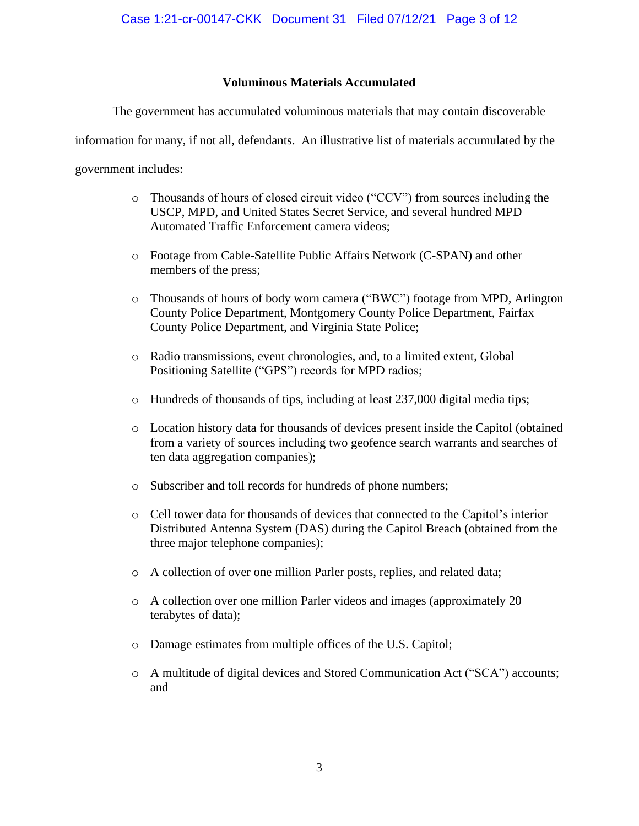## **Voluminous Materials Accumulated**

The government has accumulated voluminous materials that may contain discoverable

information for many, if not all, defendants. An illustrative list of materials accumulated by the

government includes:

- o Thousands of hours of closed circuit video ("CCV") from sources including the USCP, MPD, and United States Secret Service, and several hundred MPD Automated Traffic Enforcement camera videos;
- o Footage from Cable-Satellite Public Affairs Network (C-SPAN) and other members of the press;
- o Thousands of hours of body worn camera ("BWC") footage from MPD, Arlington County Police Department, Montgomery County Police Department, Fairfax County Police Department, and Virginia State Police;
- o Radio transmissions, event chronologies, and, to a limited extent, Global Positioning Satellite ("GPS") records for MPD radios;
- o Hundreds of thousands of tips, including at least 237,000 digital media tips;
- o Location history data for thousands of devices present inside the Capitol (obtained from a variety of sources including two geofence search warrants and searches of ten data aggregation companies);
- o Subscriber and toll records for hundreds of phone numbers;
- o Cell tower data for thousands of devices that connected to the Capitol's interior Distributed Antenna System (DAS) during the Capitol Breach (obtained from the three major telephone companies);
- o A collection of over one million Parler posts, replies, and related data;
- o A collection over one million Parler videos and images (approximately 20 terabytes of data);
- o Damage estimates from multiple offices of the U.S. Capitol;
- o A multitude of digital devices and Stored Communication Act ("SCA") accounts; and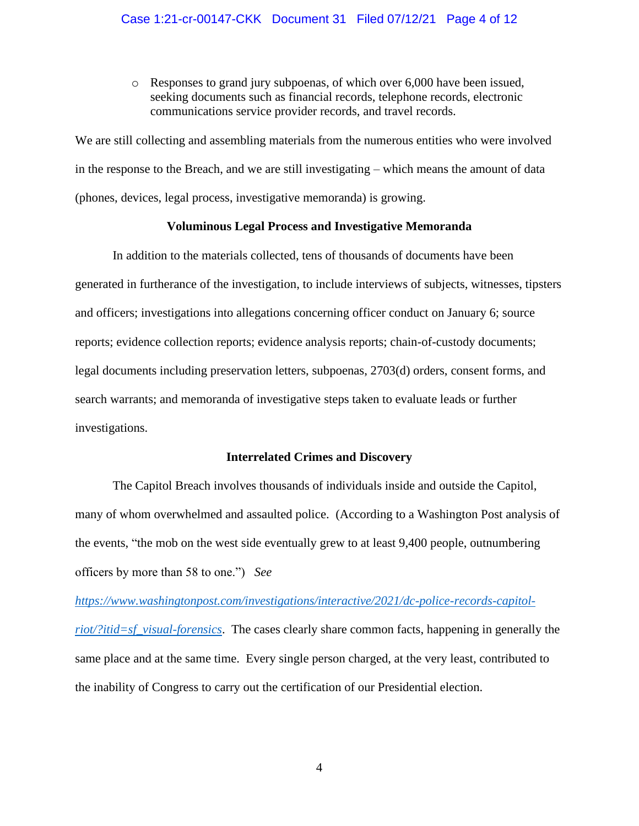o Responses to grand jury subpoenas, of which over 6,000 have been issued, seeking documents such as financial records, telephone records, electronic communications service provider records, and travel records.

We are still collecting and assembling materials from the numerous entities who were involved in the response to the Breach, and we are still investigating – which means the amount of data (phones, devices, legal process, investigative memoranda) is growing.

## **Voluminous Legal Process and Investigative Memoranda**

In addition to the materials collected, tens of thousands of documents have been generated in furtherance of the investigation, to include interviews of subjects, witnesses, tipsters and officers; investigations into allegations concerning officer conduct on January 6; source reports; evidence collection reports; evidence analysis reports; chain-of-custody documents; legal documents including preservation letters, subpoenas, 2703(d) orders, consent forms, and search warrants; and memoranda of investigative steps taken to evaluate leads or further investigations.

#### **Interrelated Crimes and Discovery**

The Capitol Breach involves thousands of individuals inside and outside the Capitol, many of whom overwhelmed and assaulted police. (According to a Washington Post analysis of the events, "the mob on the west side eventually grew to at least 9,400 people, outnumbering officers by more than 58 to one.") *See* 

*https://www.washingtonpost.com/investigations/interactive/2021/dc-police-records-capitolriot/?itid=sf\_visual-forensics*. The cases clearly share common facts, happening in generally the same place and at the same time. Every single person charged, at the very least, contributed to the inability of Congress to carry out the certification of our Presidential election.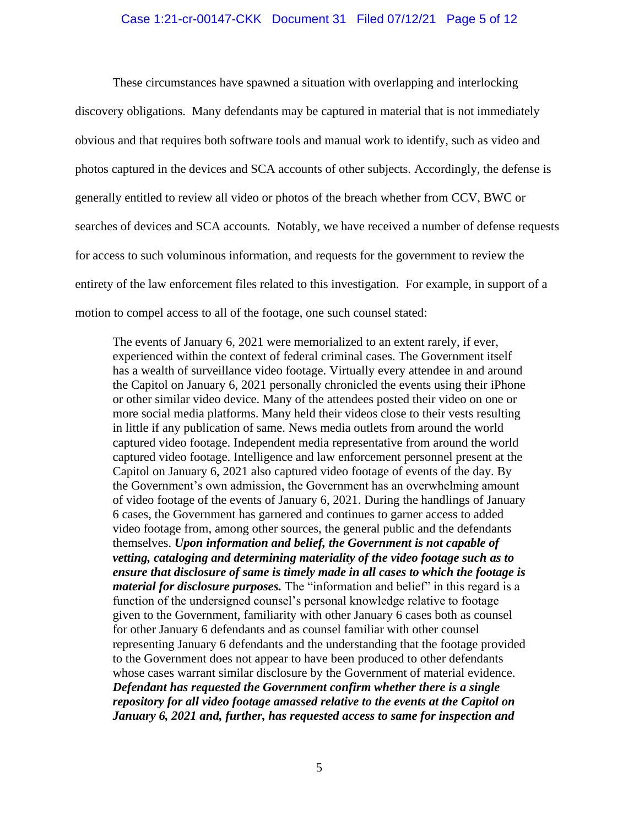#### Case 1:21-cr-00147-CKK Document 31 Filed 07/12/21 Page 5 of 12

These circumstances have spawned a situation with overlapping and interlocking discovery obligations. Many defendants may be captured in material that is not immediately obvious and that requires both software tools and manual work to identify, such as video and photos captured in the devices and SCA accounts of other subjects. Accordingly, the defense is generally entitled to review all video or photos of the breach whether from CCV, BWC or searches of devices and SCA accounts. Notably, we have received a number of defense requests for access to such voluminous information, and requests for the government to review the entirety of the law enforcement files related to this investigation. For example, in support of a motion to compel access to all of the footage, one such counsel stated:

The events of January 6, 2021 were memorialized to an extent rarely, if ever, experienced within the context of federal criminal cases. The Government itself has a wealth of surveillance video footage. Virtually every attendee in and around the Capitol on January 6, 2021 personally chronicled the events using their iPhone or other similar video device. Many of the attendees posted their video on one or more social media platforms. Many held their videos close to their vests resulting in little if any publication of same. News media outlets from around the world captured video footage. Independent media representative from around the world captured video footage. Intelligence and law enforcement personnel present at the Capitol on January 6, 2021 also captured video footage of events of the day. By the Government's own admission, the Government has an overwhelming amount of video footage of the events of January 6, 2021. During the handlings of January 6 cases, the Government has garnered and continues to garner access to added video footage from, among other sources, the general public and the defendants themselves. *Upon information and belief, the Government is not capable of vetting, cataloging and determining materiality of the video footage such as to ensure that disclosure of same is timely made in all cases to which the footage is material for disclosure purposes.* The "information and belief" in this regard is a function of the undersigned counsel's personal knowledge relative to footage given to the Government, familiarity with other January 6 cases both as counsel for other January 6 defendants and as counsel familiar with other counsel representing January 6 defendants and the understanding that the footage provided to the Government does not appear to have been produced to other defendants whose cases warrant similar disclosure by the Government of material evidence. *Defendant has requested the Government confirm whether there is a single repository for all video footage amassed relative to the events at the Capitol on January 6, 2021 and, further, has requested access to same for inspection and*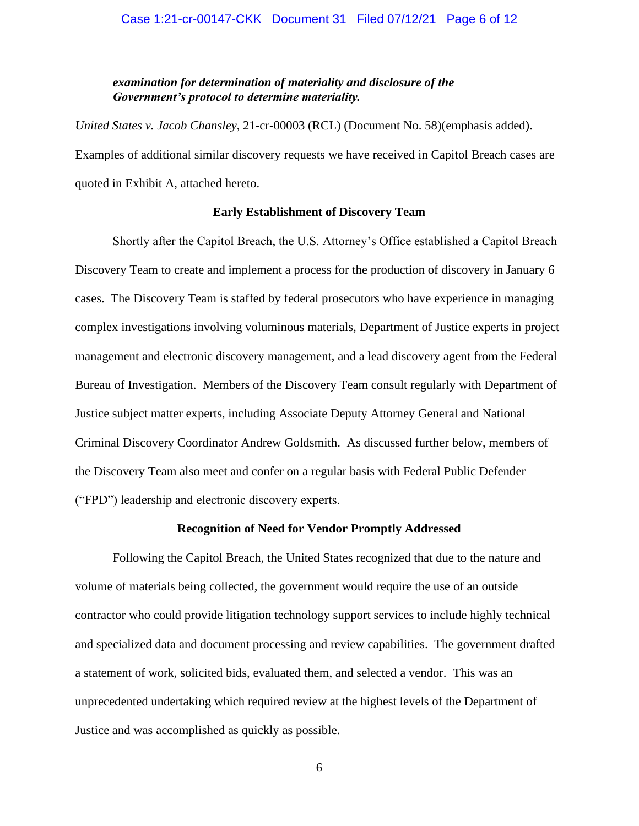## *examination for determination of materiality and disclosure of the Government's protocol to determine materiality.*

*United States v. Jacob Chansley*, 21-cr-00003 (RCL) (Document No. 58)(emphasis added). Examples of additional similar discovery requests we have received in Capitol Breach cases are quoted in Exhibit A, attached hereto.

## **Early Establishment of Discovery Team**

Shortly after the Capitol Breach, the U.S. Attorney's Office established a Capitol Breach Discovery Team to create and implement a process for the production of discovery in January 6 cases. The Discovery Team is staffed by federal prosecutors who have experience in managing complex investigations involving voluminous materials, Department of Justice experts in project management and electronic discovery management, and a lead discovery agent from the Federal Bureau of Investigation. Members of the Discovery Team consult regularly with Department of Justice subject matter experts, including Associate Deputy Attorney General and National Criminal Discovery Coordinator Andrew Goldsmith. As discussed further below, members of the Discovery Team also meet and confer on a regular basis with Federal Public Defender ("FPD") leadership and electronic discovery experts.

#### **Recognition of Need for Vendor Promptly Addressed**

Following the Capitol Breach, the United States recognized that due to the nature and volume of materials being collected, the government would require the use of an outside contractor who could provide litigation technology support services to include highly technical and specialized data and document processing and review capabilities. The government drafted a statement of work, solicited bids, evaluated them, and selected a vendor. This was an unprecedented undertaking which required review at the highest levels of the Department of Justice and was accomplished as quickly as possible.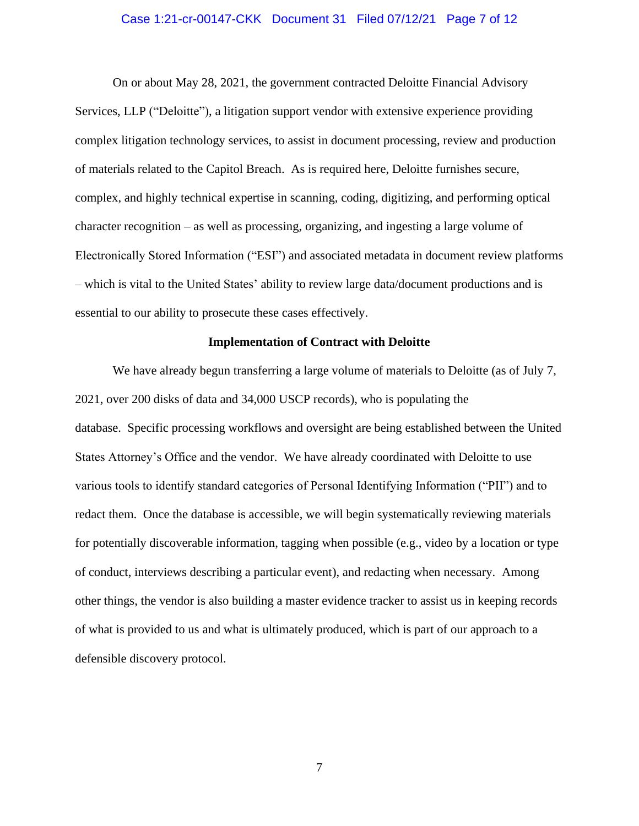#### Case 1:21-cr-00147-CKK Document 31 Filed 07/12/21 Page 7 of 12

On or about May 28, 2021, the government contracted Deloitte Financial Advisory Services, LLP ("Deloitte"), a litigation support vendor with extensive experience providing complex litigation technology services, to assist in document processing, review and production of materials related to the Capitol Breach. As is required here, Deloitte furnishes secure, complex, and highly technical expertise in scanning, coding, digitizing, and performing optical character recognition – as well as processing, organizing, and ingesting a large volume of Electronically Stored Information ("ESI") and associated metadata in document review platforms – which is vital to the United States' ability to review large data/document productions and is essential to our ability to prosecute these cases effectively.

#### **Implementation of Contract with Deloitte**

We have already begun transferring a large volume of materials to Deloitte (as of July 7, 2021, over 200 disks of data and 34,000 USCP records), who is populating the database. Specific processing workflows and oversight are being established between the United States Attorney's Office and the vendor. We have already coordinated with Deloitte to use various tools to identify standard categories of Personal Identifying Information ("PII") and to redact them. Once the database is accessible, we will begin systematically reviewing materials for potentially discoverable information, tagging when possible (e.g., video by a location or type of conduct, interviews describing a particular event), and redacting when necessary. Among other things, the vendor is also building a master evidence tracker to assist us in keeping records of what is provided to us and what is ultimately produced, which is part of our approach to a defensible discovery protocol.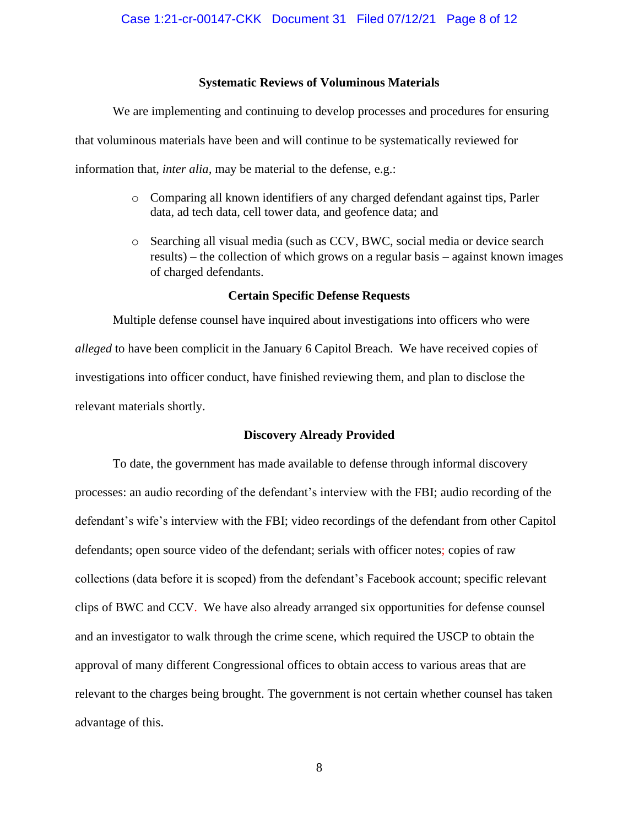#### **Systematic Reviews of Voluminous Materials**

We are implementing and continuing to develop processes and procedures for ensuring that voluminous materials have been and will continue to be systematically reviewed for information that, *inter alia,* may be material to the defense, e.g.:

- o Comparing all known identifiers of any charged defendant against tips, Parler data, ad tech data, cell tower data, and geofence data; and
- o Searching all visual media (such as CCV, BWC, social media or device search results) – the collection of which grows on a regular basis – against known images of charged defendants.

#### **Certain Specific Defense Requests**

Multiple defense counsel have inquired about investigations into officers who were *alleged* to have been complicit in the January 6 Capitol Breach. We have received copies of investigations into officer conduct, have finished reviewing them, and plan to disclose the relevant materials shortly.

#### **Discovery Already Provided**

To date, the government has made available to defense through informal discovery processes: an audio recording of the defendant's interview with the FBI; audio recording of the defendant's wife's interview with the FBI; video recordings of the defendant from other Capitol defendants; open source video of the defendant; serials with officer notes; copies of raw collections (data before it is scoped) from the defendant's Facebook account; specific relevant clips of BWC and CCV. We have also already arranged six opportunities for defense counsel and an investigator to walk through the crime scene, which required the USCP to obtain the approval of many different Congressional offices to obtain access to various areas that are relevant to the charges being brought. The government is not certain whether counsel has taken advantage of this.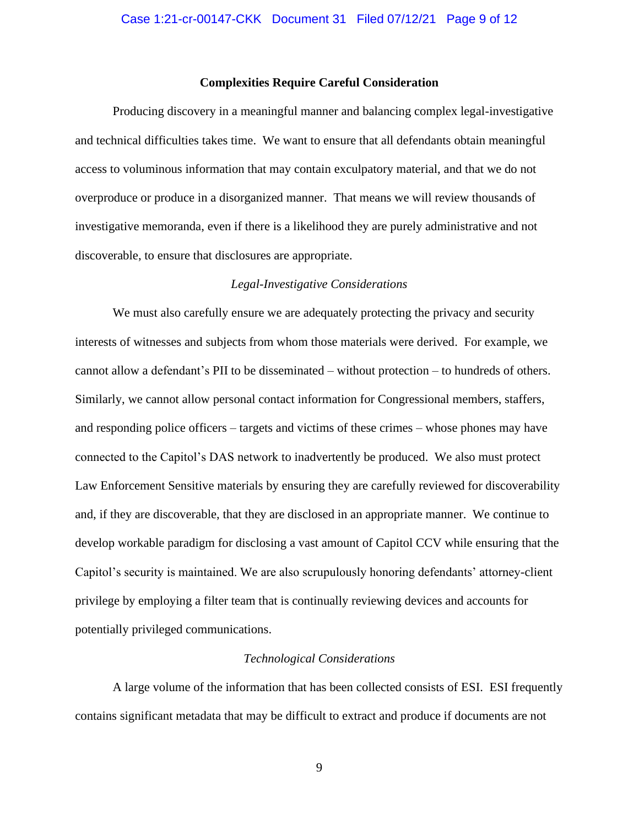#### **Complexities Require Careful Consideration**

Producing discovery in a meaningful manner and balancing complex legal-investigative and technical difficulties takes time. We want to ensure that all defendants obtain meaningful access to voluminous information that may contain exculpatory material, and that we do not overproduce or produce in a disorganized manner. That means we will review thousands of investigative memoranda, even if there is a likelihood they are purely administrative and not discoverable, to ensure that disclosures are appropriate.

#### *Legal-Investigative Considerations*

We must also carefully ensure we are adequately protecting the privacy and security interests of witnesses and subjects from whom those materials were derived. For example, we cannot allow a defendant's PII to be disseminated – without protection – to hundreds of others. Similarly, we cannot allow personal contact information for Congressional members, staffers, and responding police officers – targets and victims of these crimes – whose phones may have connected to the Capitol's DAS network to inadvertently be produced. We also must protect Law Enforcement Sensitive materials by ensuring they are carefully reviewed for discoverability and, if they are discoverable, that they are disclosed in an appropriate manner. We continue to develop workable paradigm for disclosing a vast amount of Capitol CCV while ensuring that the Capitol's security is maintained. We are also scrupulously honoring defendants' attorney-client privilege by employing a filter team that is continually reviewing devices and accounts for potentially privileged communications.

#### *Technological Considerations*

A large volume of the information that has been collected consists of ESI. ESI frequently contains significant metadata that may be difficult to extract and produce if documents are not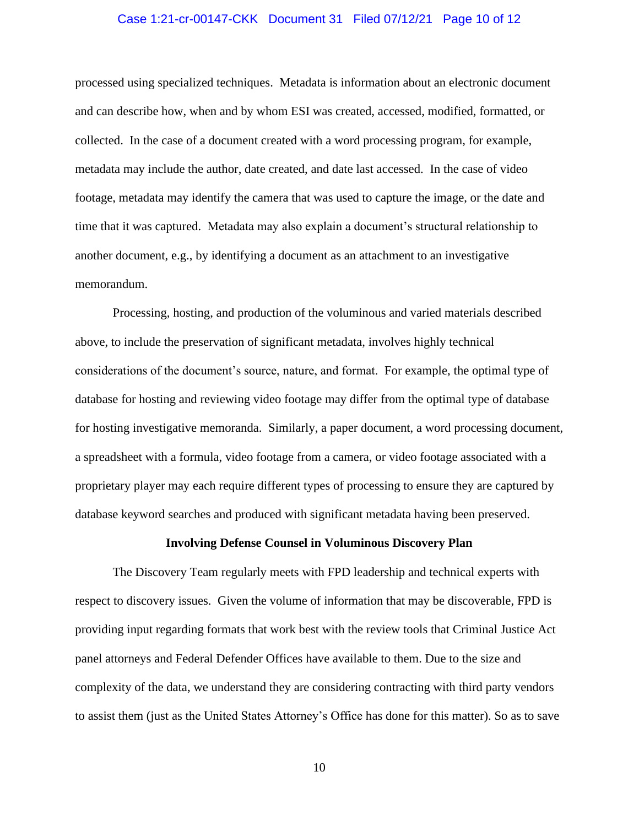#### Case 1:21-cr-00147-CKK Document 31 Filed 07/12/21 Page 10 of 12

processed using specialized techniques. Metadata is information about an electronic document and can describe how, when and by whom ESI was created, accessed, modified, formatted, or collected. In the case of a document created with a word processing program, for example, metadata may include the author, date created, and date last accessed. In the case of video footage, metadata may identify the camera that was used to capture the image, or the date and time that it was captured. Metadata may also explain a document's structural relationship to another document, e.g., by identifying a document as an attachment to an investigative memorandum.

Processing, hosting, and production of the voluminous and varied materials described above, to include the preservation of significant metadata, involves highly technical considerations of the document's source, nature, and format. For example, the optimal type of database for hosting and reviewing video footage may differ from the optimal type of database for hosting investigative memoranda. Similarly, a paper document, a word processing document, a spreadsheet with a formula, video footage from a camera, or video footage associated with a proprietary player may each require different types of processing to ensure they are captured by database keyword searches and produced with significant metadata having been preserved.

#### **Involving Defense Counsel in Voluminous Discovery Plan**

The Discovery Team regularly meets with FPD leadership and technical experts with respect to discovery issues. Given the volume of information that may be discoverable, FPD is providing input regarding formats that work best with the review tools that Criminal Justice Act panel attorneys and Federal Defender Offices have available to them. Due to the size and complexity of the data, we understand they are considering contracting with third party vendors to assist them (just as the United States Attorney's Office has done for this matter). So as to save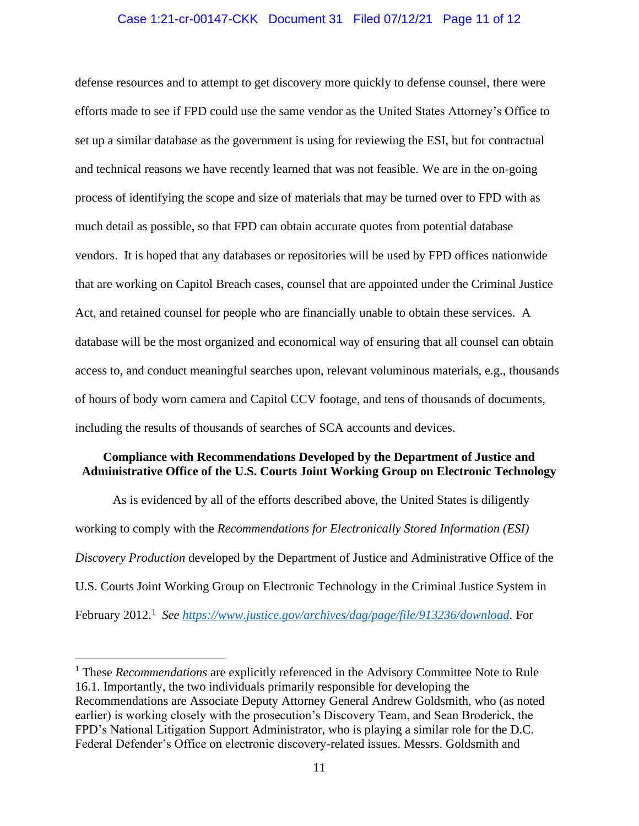## Case 1:21-cr-00147-CKK Document 31 Filed 07/12/21 Page 11 of 12

defense resources and to attempt to get discovery more quickly to defense counsel, there were efforts made to see if FPD could use the same vendor as the United States Attorney's Office to set up a similar database as the government is using for reviewing the ESI, but for contractual and technical reasons we have recently learned that was not feasible. We are in the on-going process of identifying the scope and size of materials that may be turned over to FPD with as much detail as possible, so that FPD can obtain accurate quotes from potential database vendors. It is hoped that any databases or repositories will be used by FPD offices nationwide that are working on Capitol Breach cases, counsel that are appointed under the Criminal Justice Act, and retained counsel for people who are financially unable to obtain these services. A database will be the most organized and economical way of ensuring that all counsel can obtain access to, and conduct meaningful searches upon, relevant voluminous materials, e.g., thousands of hours of body worn camera and Capitol CCV footage, and tens of thousands of documents, including the results of thousands of searches of SCA accounts and devices.

## **Compliance with Recommendations Developed by the Department of Justice and Administrative Office of the U.S. Courts Joint Working Group on Electronic Technology**

As is evidenced by all of the efforts described above, the United States is diligently working to comply with the *Recommendations for Electronically Stored Information (ESI) Discovery Production* developed by the Department of Justice and Administrative Office of the U.S. Courts Joint Working Group on Electronic Technology in the Criminal Justice System in February 2012.<sup>1</sup> See https://www.justice.gov/archives/dag/page/file/913236/download. For

<sup>&</sup>lt;sup>1</sup> These *Recommendations* are explicitly referenced in the Advisory Committee Note to Rule 16.1. Importantly, the two individuals primarily responsible for developing the Recommendations are Associate Deputy Attorney General Andrew Goldsmith, who (as noted earlier) is working closely with the prosecution's Discovery Team, and Sean Broderick, the FPD's National Litigation Support Administrator, who is playing a similar role for the D.C. Federal Defender's Office on electronic discovery-related issues. Messrs. Goldsmith and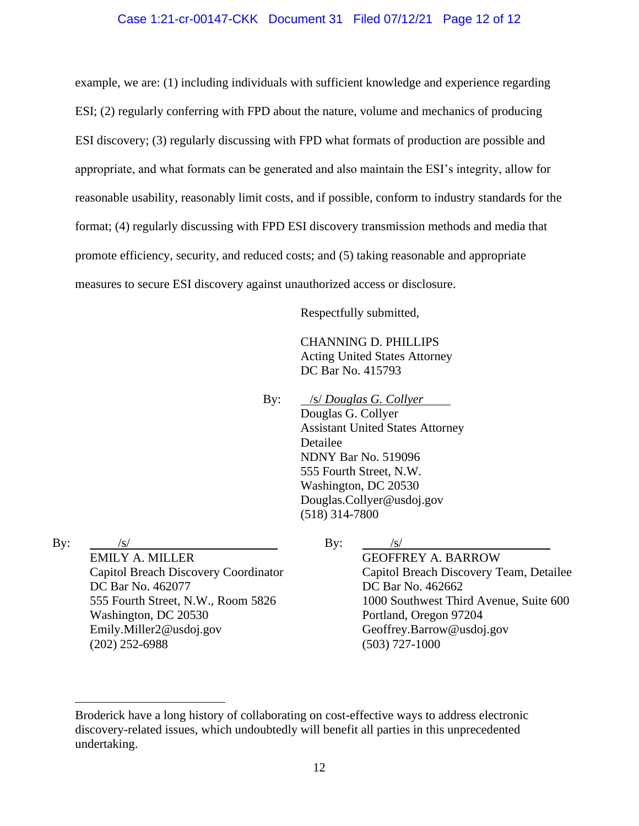## Case 1:21-cr-00147-CKK Document 31 Filed 07/12/21 Page 12 of 12

example, we are: (1) including individuals with sufficient knowledge and experience regarding ESI; (2) regularly conferring with FPD about the nature, volume and mechanics of producing ESI discovery; (3) regularly discussing with FPD what formats of production are possible and appropriate, and what formats can be generated and also maintain the ESI's integrity, allow for reasonable usability, reasonably limit costs, and if possible, conform to industry standards for the format; (4) regularly discussing with FPD ESI discovery transmission methods and media that promote efficiency, security, and reduced costs; and (5) taking reasonable and appropriate measures to secure ESI discovery against unauthorized access or disclosure.

Respectfully submitted,

CHANNING D. PHILLIPS Acting United States Attorney DC Bar No. 415793

By: /s/ *Douglas G. Collyer* Douglas G. Collyer Assistant United States Attorney Detailee NDNY Bar No. 519096 555 Fourth Street, N.W. Washington, DC 20530 Douglas.Collyer@usdoj.gov (518) 314-7800

By:  $/s/$ 

EMILY A. MILLER Capitol Breach Discovery Coordinator DC Bar No. 462077 555 Fourth Street, N.W., Room 5826 Washington, DC 20530 Emily.Miller2@usdoj.gov (202) 252-6988

## By:  $/s/$

GEOFFREY A. BARROW Capitol Breach Discovery Team, Detailee DC Bar No. 462662 1000 Southwest Third Avenue, Suite 600 Portland, Oregon 97204 Geoffrey.Barrow@usdoj.gov (503) 727-1000

Broderick have a long history of collaborating on cost-effective ways to address electronic discovery-related issues, which undoubtedly will benefit all parties in this unprecedented undertaking.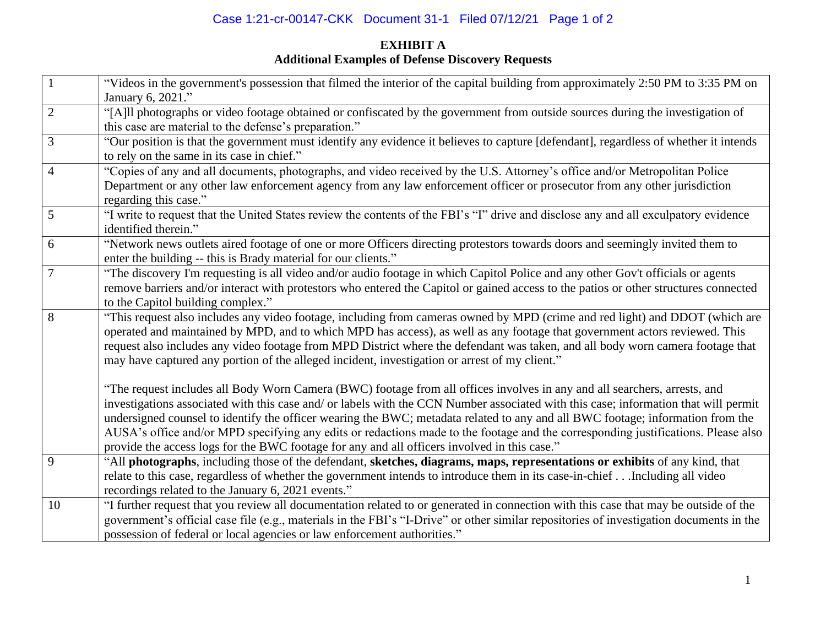# Case 1:21-cr-00147-CKK Document 31-1 Filed 07/12/21 Page 1 of 2

# **EXHIBIT A Additional Examples of Defense Discovery Requests**

|                | "Videos in the government's possession that filmed the interior of the capital building from approximately 2:50 PM to 3:35 PM on<br>January 6, 2021."       |
|----------------|-------------------------------------------------------------------------------------------------------------------------------------------------------------|
| $\overline{2}$ | "[A]ll photographs or video footage obtained or confiscated by the government from outside sources during the investigation of                              |
|                | this case are material to the defense's preparation."                                                                                                       |
| 3              | "Our position is that the government must identify any evidence it believes to capture [defendant], regardless of whether it intends                        |
|                | to rely on the same in its case in chief."                                                                                                                  |
| $\overline{4}$ | "Copies of any and all documents, photographs, and video received by the U.S. Attorney's office and/or Metropolitan Police                                  |
|                | Department or any other law enforcement agency from any law enforcement officer or prosecutor from any other jurisdiction                                   |
|                |                                                                                                                                                             |
| 5              | regarding this case."                                                                                                                                       |
|                | "I write to request that the United States review the contents of the FBI's "I" drive and disclose any and all exculpatory evidence<br>identified therein." |
|                |                                                                                                                                                             |
| 6              | "Network news outlets aired footage of one or more Officers directing protestors towards doors and seemingly invited them to                                |
|                | enter the building -- this is Brady material for our clients."                                                                                              |
| 7              | "The discovery I'm requesting is all video and/or audio footage in which Capitol Police and any other Gov't officials or agents                             |
|                | remove barriers and/or interact with protestors who entered the Capitol or gained access to the patios or other structures connected                        |
|                | to the Capitol building complex."                                                                                                                           |
| 8              | "This request also includes any video footage, including from cameras owned by MPD (crime and red light) and DDOT (which are                                |
|                | operated and maintained by MPD, and to which MPD has access), as well as any footage that government actors reviewed. This                                  |
|                | request also includes any video footage from MPD District where the defendant was taken, and all body worn camera footage that                              |
|                | may have captured any portion of the alleged incident, investigation or arrest of my client."                                                               |
|                | "The request includes all Body Worn Camera (BWC) footage from all offices involves in any and all searchers, arrests, and                                   |
|                | investigations associated with this case and/ or labels with the CCN Number associated with this case; information that will permit                         |
|                | undersigned counsel to identify the officer wearing the BWC; metadata related to any and all BWC footage; information from the                              |
|                | AUSA's office and/or MPD specifying any edits or redactions made to the footage and the corresponding justifications. Please also                           |
|                | provide the access logs for the BWC footage for any and all officers involved in this case."                                                                |
| 9              | "All photographs, including those of the defendant, sketches, diagrams, maps, representations or exhibits of any kind, that                                 |
|                | relate to this case, regardless of whether the government intends to introduce them in its case-in-chiefIncluding all video                                 |
|                | recordings related to the January 6, 2021 events."                                                                                                          |
| 10             | "I further request that you review all documentation related to or generated in connection with this case that may be outside of the                        |
|                | government's official case file (e.g., materials in the FBI's "I-Drive" or other similar repositories of investigation documents in the                     |
|                | possession of federal or local agencies or law enforcement authorities."                                                                                    |
|                |                                                                                                                                                             |